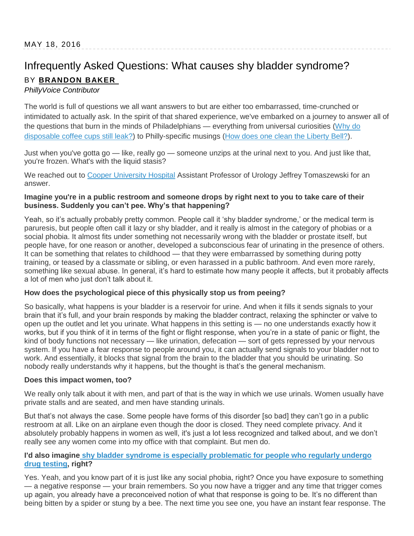# Infrequently Asked Questions: What causes shy bladder syndrome? BY **[BRANDON BAKER](http://www.phillyvoice.com/staff-contributors/brandon-baker/)**

# *PhillyVoice Contributor*

The world is full of questions we all want answers to but are either too embarrassed, time-crunched or intimidated to actually ask. In the spirit of that shared experience, we've embarked on a journey to answer all of the questions that burn in the minds of Philadelphians — everything from universal curiosities [\(Why do](http://www.phillyvoice.com/infrequently-asked-questions-coffee-drip/)  [disposable coffee cups still leak?\)](http://www.phillyvoice.com/infrequently-asked-questions-coffee-drip/) to Philly-specific musings [\(How does one clean the Liberty Bell?\)](http://www.phillyvoice.com/how-does-liberty-bell-get-cleaned/).

Just when you've gotta go — like, really go — someone unzips at the urinal next to you. And just like that, you're frozen. What's with the liquid stasis?

We reached out to [Cooper University Hospital](http://www.cooperhealth.org/) Assistant Professor of Urology Jeffrey Tomaszewski for an answer.

## **Imagine you're in a public restroom and someone drops by right next to you to take care of their business. Suddenly you can't pee. Why's that happening?**

Yeah, so it's actually probably pretty common. People call it 'shy bladder syndrome,' or the medical term is paruresis, but people often call it lazy or shy bladder, and it really is almost in the category of phobias or a social phobia. It almost fits under something not necessarily wrong with the bladder or prostate itself, but people have, for one reason or another, developed a subconscious fear of urinating in the presence of others. It can be something that relates to childhood — that they were embarrassed by something during potty training, or teased by a classmate or sibling, or even harassed in a public bathroom. And even more rarely, something like sexual abuse. In general, it's hard to estimate how many people it affects, but it probably affects a lot of men who just don't talk about it.

## **How does the psychological piece of this physically stop us from peeing?**

So basically, what happens is your bladder is a reservoir for urine. And when it fills it sends signals to your brain that it's full, and your brain responds by making the bladder contract, relaxing the sphincter or valve to open up the outlet and let you urinate. What happens in this setting is — no one understands exactly how it works, but if you think of it in terms of the fight or flight response, when you're in a state of panic or flight, the kind of body functions not necessary — like urination, defecation — sort of gets repressed by your nervous system. If you have a fear response to people around you, it can actually send signals to your bladder not to work. And essentially, it blocks that signal from the brain to the bladder that you should be urinating. So nobody really understands why it happens, but the thought is that's the general mechanism.

## **Does this impact women, too?**

We really only talk about it with men, and part of that is the way in which we use urinals. Women usually have private stalls and are seated, and men have standing urinals.

But that's not always the case. Some people have forms of this disorder [so bad] they can't go in a public restroom at all. Like on an airplane even though the door is closed. They need complete privacy. And it absolutely probably happens in women as well, it's just a lot less recognized and talked about, and we don't really see any women come into my office with that complaint. But men do.

## **I'd also imagine [shy bladder syndrome is especially problematic for people who regularly undergo](http://paruresis.org/drug-testing-reform/)  [drug testing,](http://paruresis.org/drug-testing-reform/) right?**

Yes. Yeah, and you know part of it is just like any social phobia, right? Once you have exposure to something — a negative response — your brain remembers. So you now have a trigger and any time that trigger comes up again, you already have a preconceived notion of what that response is going to be. It's no different than being bitten by a spider or stung by a bee. The next time you see one, you have an instant fear response. The